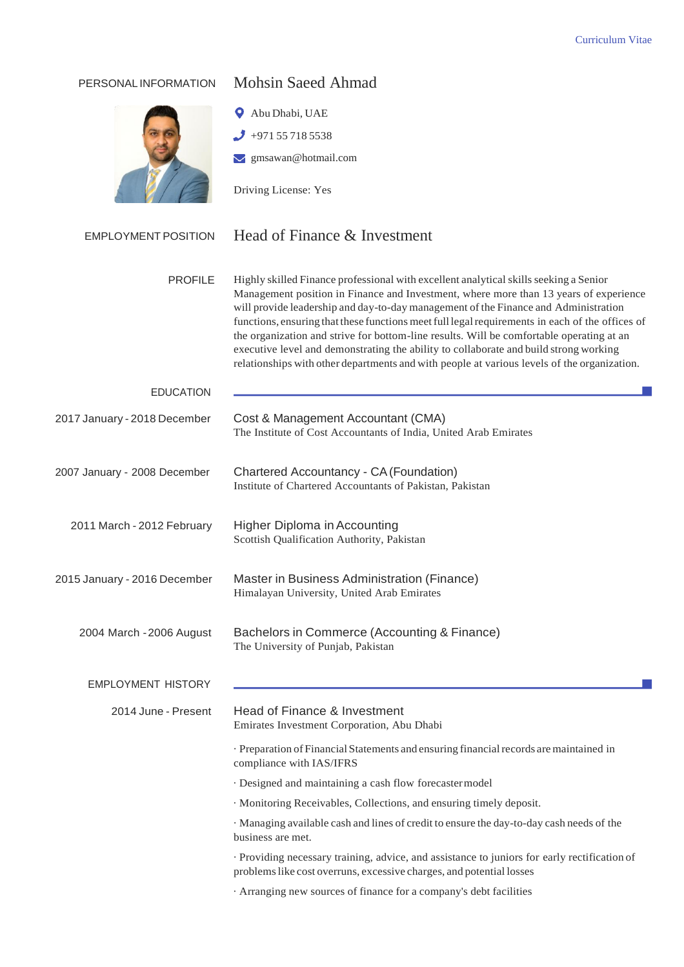| PERSONAL INFORMATION         | <b>Mohsin Saeed Ahmad</b>                                                                                                                                                                                                                                                                                                                                                                                                                                                                                                                                                                                                                                    |  |  |
|------------------------------|--------------------------------------------------------------------------------------------------------------------------------------------------------------------------------------------------------------------------------------------------------------------------------------------------------------------------------------------------------------------------------------------------------------------------------------------------------------------------------------------------------------------------------------------------------------------------------------------------------------------------------------------------------------|--|--|
|                              | Abu Dhabi, UAE                                                                                                                                                                                                                                                                                                                                                                                                                                                                                                                                                                                                                                               |  |  |
|                              | +971 55 718 5538                                                                                                                                                                                                                                                                                                                                                                                                                                                                                                                                                                                                                                             |  |  |
|                              | $\vee$ gmsawan@hotmail.com                                                                                                                                                                                                                                                                                                                                                                                                                                                                                                                                                                                                                                   |  |  |
|                              | Driving License: Yes                                                                                                                                                                                                                                                                                                                                                                                                                                                                                                                                                                                                                                         |  |  |
| <b>EMPLOYMENT POSITION</b>   | Head of Finance & Investment                                                                                                                                                                                                                                                                                                                                                                                                                                                                                                                                                                                                                                 |  |  |
| <b>PROFILE</b>               | Highly skilled Finance professional with excellent analytical skills seeking a Senior<br>Management position in Finance and Investment, where more than 13 years of experience<br>will provide leadership and day-to-day management of the Finance and Administration<br>functions, ensuring that these functions meet full legal requirements in each of the offices of<br>the organization and strive for bottom-line results. Will be comfortable operating at an<br>executive level and demonstrating the ability to collaborate and build strong working<br>relationships with other departments and with people at various levels of the organization. |  |  |
| <b>EDUCATION</b>             |                                                                                                                                                                                                                                                                                                                                                                                                                                                                                                                                                                                                                                                              |  |  |
| 2017 January - 2018 December | Cost & Management Accountant (CMA)<br>The Institute of Cost Accountants of India, United Arab Emirates                                                                                                                                                                                                                                                                                                                                                                                                                                                                                                                                                       |  |  |
| 2007 January - 2008 December | Chartered Accountancy - CA (Foundation)<br>Institute of Chartered Accountants of Pakistan, Pakistan                                                                                                                                                                                                                                                                                                                                                                                                                                                                                                                                                          |  |  |
| 2011 March - 2012 February   | <b>Higher Diploma in Accounting</b><br>Scottish Qualification Authority, Pakistan                                                                                                                                                                                                                                                                                                                                                                                                                                                                                                                                                                            |  |  |
| 2015 January - 2016 December | Master in Business Administration (Finance)<br>Himalayan University, United Arab Emirates                                                                                                                                                                                                                                                                                                                                                                                                                                                                                                                                                                    |  |  |
| 2004 March - 2006 August     | Bachelors in Commerce (Accounting & Finance)<br>The University of Punjab, Pakistan                                                                                                                                                                                                                                                                                                                                                                                                                                                                                                                                                                           |  |  |
| <b>EMPLOYMENT HISTORY</b>    |                                                                                                                                                                                                                                                                                                                                                                                                                                                                                                                                                                                                                                                              |  |  |
| 2014 June - Present          | Head of Finance & Investment<br>Emirates Investment Corporation, Abu Dhabi                                                                                                                                                                                                                                                                                                                                                                                                                                                                                                                                                                                   |  |  |
|                              | · Preparation of Financial Statements and ensuring financial records are maintained in<br>compliance with IAS/IFRS                                                                                                                                                                                                                                                                                                                                                                                                                                                                                                                                           |  |  |
|                              | · Designed and maintaining a cash flow forecaster model                                                                                                                                                                                                                                                                                                                                                                                                                                                                                                                                                                                                      |  |  |
|                              | · Monitoring Receivables, Collections, and ensuring timely deposit.                                                                                                                                                                                                                                                                                                                                                                                                                                                                                                                                                                                          |  |  |
|                              | · Managing available cash and lines of credit to ensure the day-to-day cash needs of the<br>business are met.                                                                                                                                                                                                                                                                                                                                                                                                                                                                                                                                                |  |  |
|                              | · Providing necessary training, advice, and assistance to juniors for early rectification of<br>problems like cost overruns, excessive charges, and potential losses                                                                                                                                                                                                                                                                                                                                                                                                                                                                                         |  |  |
|                              | · Arranging new sources of finance for a company's debt facilities                                                                                                                                                                                                                                                                                                                                                                                                                                                                                                                                                                                           |  |  |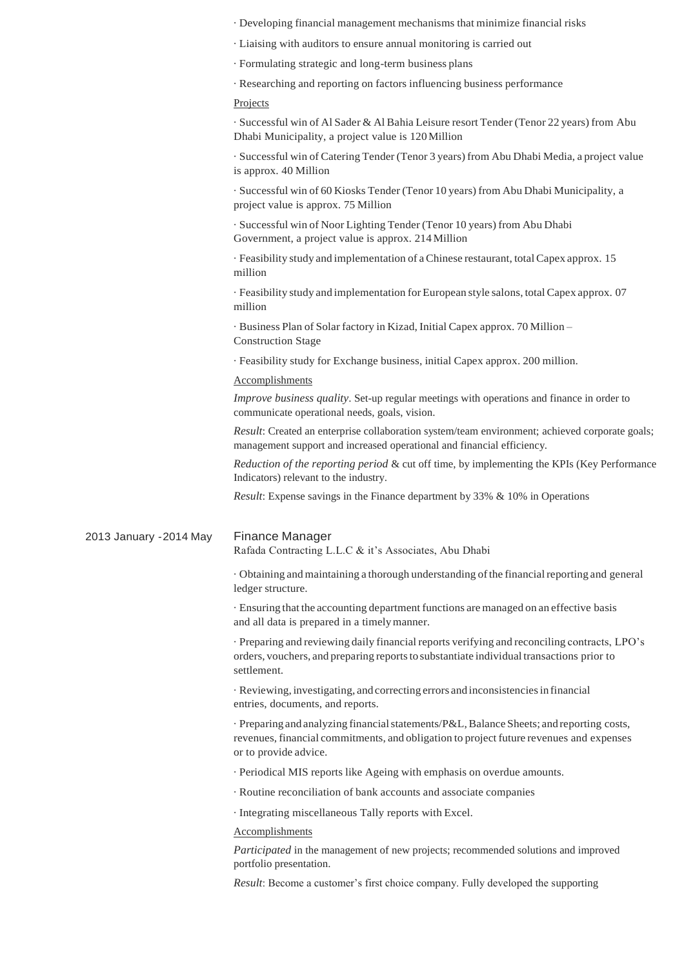· Developing financial management mechanisms that minimize financial risks

· Liaising with auditors to ensure annual monitoring is carried out

· Formulating strategic and long-term business plans

· Researching and reporting on factors influencing business performance

## Projects

· Successful win of Al Sader & Al Bahia Leisure resort Tender (Tenor 22 years) from Abu Dhabi Municipality, a project value is 120Million

· Successful win of Catering Tender (Tenor 3 years) from Abu Dhabi Media, a project value is approx. 40 Million

· Successful win of 60 Kiosks Tender (Tenor 10 years) from Abu Dhabi Municipality, a project value is approx. 75 Million

· Successful win of Noor Lighting Tender (Tenor 10 years) from Abu Dhabi Government, a project value is approx. 214Million

· Feasibility study and implementation of aChinese restaurant, totalCapex approx. 15 million

· Feasibility study and implementation forEuropean style salons, totalCapex approx. 07 million

· Business Plan of Solar factory in Kizad, Initial Capex approx. 70 Million – Construction Stage

· Feasibility study for Exchange business, initial Capex approx. 200 million.

## Accomplishments

*Improve business quality*. Set-up regular meetings with operations and finance in order to communicate operational needs, goals, vision.

*Result*: Created an enterprise collaboration system/team environment; achieved corporate goals; management support and increased operational and financial efficiency.

*Reduction of the reporting period* & cut off time, by implementing the KPIs (Key Performance Indicators) relevant to the industry.

*Result*: Expense savings in the Finance department by 33% & 10% in Operations

## 2013 January -2014 May Finance Manager

Rafada Contracting L.L.C & it's Associates, Abu Dhabi

· Obtaining and maintaining a thorough understanding ofthe financialreporting and general ledger structure.

· Ensuring that the accounting department functions are managed on an effective basis and all data is prepared in a timelymanner.

· Preparing and reviewing daily financial reports verifying and reconciling contracts, LPO's orders, vouchers, and preparing reportsto substantiate individual transactions prior to settlement.

· Reviewing, investigating, and correcting errors and inconsistenciesin financial entries, documents, and reports.

· Preparing and analyzing financialstatements/P&L,Balance Sheets; and reporting costs, revenues, financial commitments, and obligation to project future revenues and expenses or to provide advice.

· Periodical MIS reports like Ageing with emphasis on overdue amounts.

· Routine reconciliation of bank accounts and associate companies

· Integrating miscellaneous Tally reports with Excel.

## Accomplishments

*Participated* in the management of new projects; recommended solutions and improved portfolio presentation.

*Result*: Become a customer's first choice company. Fully developed the supporting